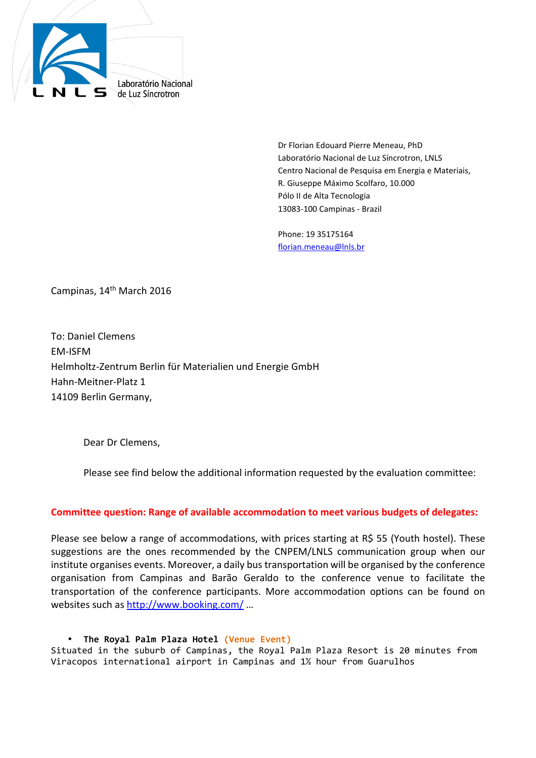

 Dr Florian Edouard Pierre Meneau, PhD Laboratório Nacional de Luz Síncrotron, LNLS Centro Nacional de Pesquisa em Energia e Materiais, R. Giuseppe Máximo Scolfaro, 10.000 Pólo II de Alta Tecnologia 13083-100 Campinas - Brazil

Phone: 19 35175164 florian.meneau@lnls.br

Campinas, 14<sup>th</sup> March 2016

To: Daniel Clemens EM-ISFM Helmholtz-Zentrum Berlin für Materialien und Energie GmbH Hahn-Meitner-Platz 1 14109 Berlin Germany,

Dear Dr Clemens,

Please see find below the additional information requested by the evaluation committee:

## **Committee question: Range of available accommodation to meet various budgets of delegates:**

Please see below a range of accommodations, with prices starting at R\$ 55 (Youth hostel). These suggestions are the ones recommended by the CNPEM/LNLS communication group when our institute organises events. Moreover, a daily bus transportation will be organised by the conference organisation from Campinas and Barão Geraldo to the conference venue to facilitate the transportation of the conference participants. More accommodation options can be found on websites such as http://www.booking.com/ …

• **The Royal Palm Plaza Hotel (Venue Event)** Situated in the suburb of Campinas, the Royal Palm Plaza Resort is 20 minutes from Viracopos international airport in Campinas and 1½ hour from Guarulhos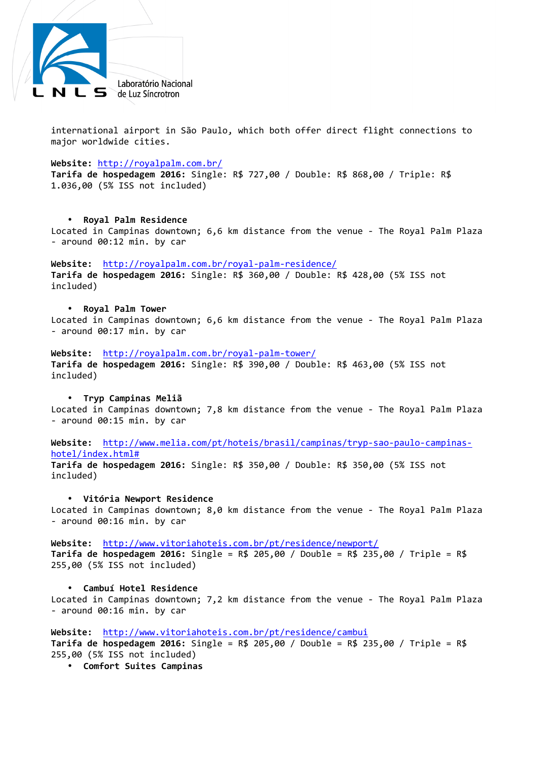

international airport in São Paulo, which both offer direct flight connections to major worldwide cities.

**Website:** http://royalpalm.com.br/

**Tarifa de hospedagem 2016:** Single: R\$ 727,00 / Double: R\$ 868,00 / Triple: R\$ 1.036,00 (5% ISS not included)

#### • **Royal Palm Residence**

Located in Campinas downtown; 6,6 km distance from the venue - The Royal Palm Plaza - around 00:12 min. by car

#### **Website:** http://royalpalm.com.br/royal-palm-residence/

**Tarifa de hospedagem 2016:** Single: R\$ 360,00 / Double: R\$ 428,00 (5% ISS not included)

#### • **Royal Palm Tower**

Located in Campinas downtown; 6,6 km distance from the venue - The Royal Palm Plaza - around 00:17 min. by car

**Website:** http://royalpalm.com.br/royal-palm-tower/ **Tarifa de hospedagem 2016:** Single: R\$ 390,00 / Double: R\$ 463,00 (5% ISS not included)

### • **Tryp Campinas Meliã**

Located in Campinas downtown; 7,8 km distance from the venue - The Royal Palm Plaza - around 00:15 min. by car

**Website:** http://www.melia.com/pt/hoteis/brasil/campinas/tryp-sao-paulo-campinashotel/index.html#

**Tarifa de hospedagem 2016:** Single: R\$ 350,00 / Double: R\$ 350,00 (5% ISS not included)

### • **Vitória Newport Residence**

Located in Campinas downtown; 8,0 km distance from the venue - The Royal Palm Plaza - around 00:16 min. by car

**Website:** http://www.vitoriahoteis.com.br/pt/residence/newport/ **Tarifa de hospedagem 2016:** Single = R\$ 205,00 / Double = R\$ 235,00 / Triple = R\$ 255,00 (5% ISS not included)

#### • **Cambuí Hotel Residence**

Located in Campinas downtown; 7,2 km distance from the venue - The Royal Palm Plaza - around 00:16 min. by car

## **Website:** http://www.vitoriahoteis.com.br/pt/residence/cambui

**Tarifa de hospedagem 2016:** Single = R\$ 205,00 / Double = R\$ 235,00 / Triple = R\$ 255,00 (5% ISS not included)

• **Comfort Suites Campinas**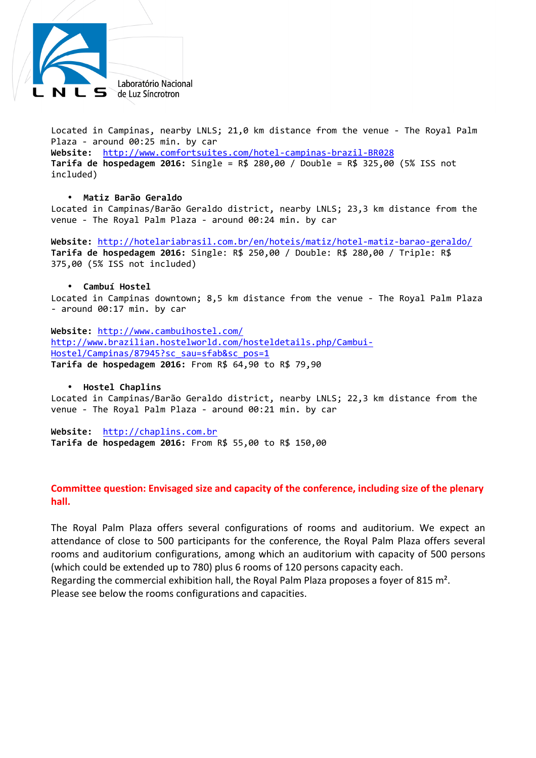

Located in Campinas, nearby LNLS; 21,0 km distance from the venue - The Royal Palm Plaza - around 00:25 min. by car

**Website:** http://www.comfortsuites.com/hotel-campinas-brazil-BR028 **Tarifa de hospedagem 2016:** Single = R\$ 280,00 / Double = R\$ 325,00 (5% ISS not included)

## • **Matiz Barão Geraldo**

Located in Campinas/Barão Geraldo district, nearby LNLS; 23,3 km distance from the venue - The Royal Palm Plaza - around 00:24 min. by car

**Website:** http://hotelariabrasil.com.br/en/hoteis/matiz/hotel-matiz-barao-geraldo/ **Tarifa de hospedagem 2016:** Single: R\$ 250,00 / Double: R\$ 280,00 / Triple: R\$ 375,00 (5% ISS not included)

## • **Cambuí Hostel**

Located in Campinas downtown; 8,5 km distance from the venue - The Royal Palm Plaza - around 00:17 min. by car

**Website:** http://www.cambuihostel.com/ http://www.brazilian.hostelworld.com/hosteldetails.php/Cambui-Hostel/Campinas/87945?sc\_sau=sfab&sc\_pos=1 **Tarifa de hospedagem 2016:** From R\$ 64,90 to R\$ 79,90

## • **Hostel Chaplins**

Located in Campinas/Barão Geraldo district, nearby LNLS; 22,3 km distance from the venue - The Royal Palm Plaza - around 00:21 min. by car

**Website:** http://chaplins.com.br **Tarifa de hospedagem 2016:** From R\$ 55,00 to R\$ 150,00

## **Committee question: Envisaged size and capacity of the conference, including size of the plenary hall.**

The Royal Palm Plaza offers several configurations of rooms and auditorium. We expect an attendance of close to 500 participants for the conference, the Royal Palm Plaza offers several rooms and auditorium configurations, among which an auditorium with capacity of 500 persons (which could be extended up to 780) plus 6 rooms of 120 persons capacity each.

Regarding the commercial exhibition hall, the Royal Palm Plaza proposes a foyer of 815 m². Please see below the rooms configurations and capacities.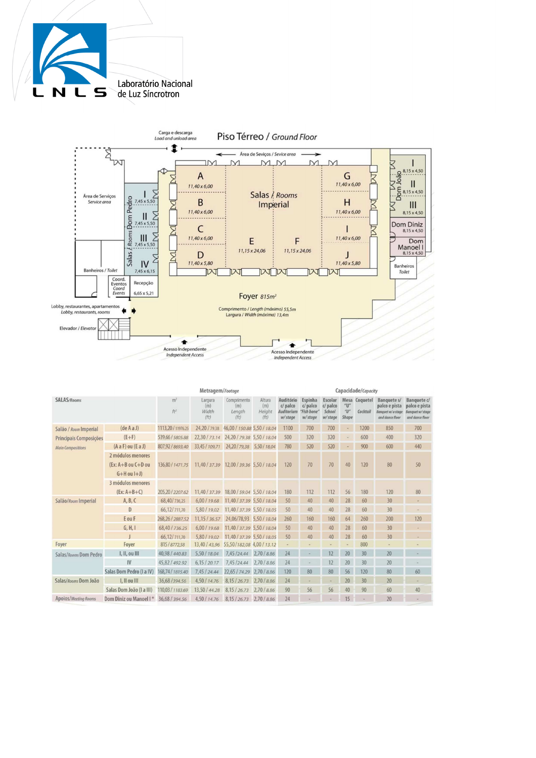



| Metragem/Footage         |                                                                   |                          |                                 |                                            |                                 | Capacidade/Capacity                             |                                                |                                           |                     |                           |                                                                      |                                                                    |
|--------------------------|-------------------------------------------------------------------|--------------------------|---------------------------------|--------------------------------------------|---------------------------------|-------------------------------------------------|------------------------------------------------|-------------------------------------------|---------------------|---------------------------|----------------------------------------------------------------------|--------------------------------------------------------------------|
| <b>SALAS/Rooms</b>       |                                                                   | m <sup>2</sup><br>$ft^2$ | Largura<br>(m)<br>Width<br>(ft) | Comprimento<br>(m)<br>Lenath<br>(ft)       | Altura<br>(m)<br>Height<br>(ft) | Auditório<br>$d$ palco<br>Auditorium<br>w/stage | Espinha<br>$d$ palco<br>"Fish bone"<br>w/stage | Escolar<br>$d$ palco<br>School<br>w/stage | "U"<br>"U"<br>Shape | Mesa Coquetel<br>Cocktail | Banquete s/<br>palco e pista<br>Banquet w/o stage<br>and dance floor | Banquete c/<br>palco e pista<br>Banquet w/stage<br>and dance floor |
| Salão / Room Imperial    | (deAaJ)                                                           | 1113.20 / 11976.25       | 24,20 / 79.38                   | 46,00 / 150.88 5,50 / 18.04                |                                 | 1100                                            | 700                                            | 700                                       |                     | 1200                      | 850                                                                  | 700                                                                |
| Principais Composições   | $(E+F)$                                                           | 539,66 / 5805.88         |                                 | 22.30 / 73.14 24.20 / 79.38 5.50 / 18.04   |                                 | 500                                             | 320                                            | 320                                       |                     | 600                       | 400                                                                  | 320                                                                |
| <b>Main Compositions</b> | (Aa F) ou (Ea J)                                                  | 807,92 / 8693.40         | 33.45 / 109.71                  | 24.20 / 79.38 5.50 / 18.04                 |                                 | 780                                             | 520                                            | 520                                       |                     | 900                       | 600                                                                  | 440                                                                |
|                          | 2 módulos menores<br>$(Ex: A + B ou C + D ou$<br>$G+H$ ou $I+J$ ) | 136.80 / 1471.75         |                                 | 11,40 / 37.39 12,00 / 39.36 5,50 / 18.04   |                                 | 120                                             | 70                                             | 70                                        | 40                  | 120                       | 80                                                                   | 50                                                                 |
|                          | 3 módulos menores                                                 |                          |                                 |                                            |                                 |                                                 |                                                |                                           |                     |                           |                                                                      |                                                                    |
|                          | $(Ex: A+B+C)$                                                     | 205.20 / 2207.62         |                                 | 11.40 / 37.39 18.00 / 59.04 5.50 / 18.04   |                                 | 180                                             | 112                                            | 112                                       | 56                  | 180                       | 120                                                                  | 80                                                                 |
| Salão/Room Imperial      | A, B, C                                                           | 68,40/736,25             | 6,00/19.68                      | 11,40 / 37.39 5,50 / 18.04                 |                                 | 50                                              | 40                                             | 40                                        | 28                  | 60                        | 30                                                                   |                                                                    |
|                          | D                                                                 | 66,12/711.70             | 5,80 / 19.02                    | 11,40 / 37.39 5,50 / 18.05                 |                                 | 50                                              | 40                                             | 40                                        | 28                  | 60                        | 30                                                                   | $\overline{\phantom{a}}$                                           |
|                          | EouF                                                              | 268, 26 / 2887, 52       |                                 | 11, 15 / 36.57 24, 06/78, 93 5, 50 / 18.04 |                                 | 260                                             | 160                                            | 160                                       | 64                  | 260                       | 200                                                                  | 120                                                                |
|                          | G, H, I                                                           | 68,40 / 736.25           |                                 | 6,00 / 19.68 11,40 / 37.39 5,50 / 18.04    |                                 | 50                                              | 40                                             | 40                                        | 28                  | 60                        | 30                                                                   |                                                                    |
|                          |                                                                   | 66, 12/711, 70           |                                 | 5,80 / 19,02 11,40 / 37.39 5,50 / 18.05    |                                 | 50                                              | 40                                             | 40                                        | 28                  | 60                        | 30                                                                   |                                                                    |
| Foyer                    | Foyer                                                             | 815/8772,58              |                                 | 13,40 / 43,96 55,50 / 182,08 4,00 / 13.12  |                                 | u                                               |                                                |                                           |                     | 800                       | ٠                                                                    |                                                                    |
| Salas/Rooms Dom Pedro    | I, II, ou III                                                     | 40,98 / 440.83           |                                 | 5,50 / 18.04 7,45 / 24.44 2,70 / 8.86      |                                 | 24                                              |                                                |                                           | 20                  | 30                        | 20                                                                   |                                                                    |
|                          | IV                                                                | 45.82 / 492.92           |                                 | 6, 15 / 20.17 7, 45 / 24.44 2, 70 / 8.86   |                                 | 24                                              |                                                | 12                                        | 20                  | 30                        | 20                                                                   |                                                                    |
|                          | Salas Dom Pedro (I a IV)                                          | 168,74/1815.40           | 7.45/24.44                      | 22,65 / 74.29 2,70 / 8.86                  |                                 | 120                                             | 80                                             | 80                                        | 56                  | 120                       | 80                                                                   | 60                                                                 |
| Salas/Rooms Dom João     | I. II ou III                                                      | 36.68/394.56             | 4,50 / 14.76                    | 8.15 / 26.73 2.70 / 8.86                   |                                 | 24                                              |                                                |                                           | 20                  | 30                        | 20                                                                   |                                                                    |
|                          | Salas Dom João (I a III)                                          | 110.03 / 1183.69         | 13,50 / 44.28                   | 8.15 / 26.73 2.70 / 8.86                   |                                 | 90                                              | 56                                             | 56                                        | 40                  | 90                        | 60                                                                   | 40                                                                 |
| Apoios/Meeting Rooms     | Dom Diniz ou Manoel I*                                            | 36,68 / 394.56           |                                 | 4.50 / 14.76 8.15 / 26.73 2.70 / 8.86      |                                 | 24                                              |                                                |                                           | 15                  |                           | 20                                                                   |                                                                    |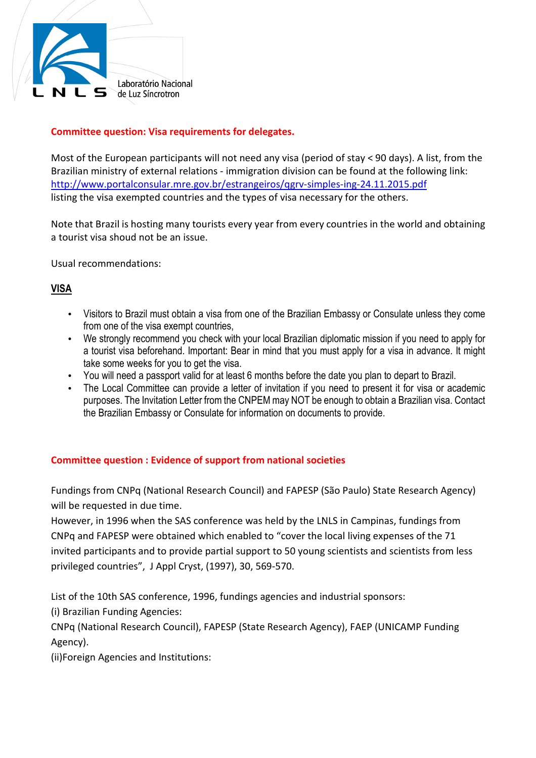

# **Committee question: Visa requirements for delegates.**

Most of the European participants will not need any visa (period of stay < 90 days). A list, from the Brazilian ministry of external relations - immigration division can be found at the following link: http://www.portalconsular.mre.gov.br/estrangeiros/qgrv-simples-ing-24.11.2015.pdf listing the visa exempted countries and the types of visa necessary for the others.

Note that Brazil is hosting many tourists every year from every countries in the world and obtaining a tourist visa shoud not be an issue.

Usual recommendations:

# **VISA**

- Visitors to Brazil must obtain a visa from one of the Brazilian Embassy or Consulate unless they come from one of the visa exempt countries,
- We strongly recommend you check with your local Brazilian diplomatic mission if you need to apply for a tourist visa beforehand. Important: Bear in mind that you must apply for a visa in advance. It might take some weeks for you to get the visa.
- You will need a passport valid for at least 6 months before the date you plan to depart to Brazil.
- The Local Committee can provide a letter of invitation if you need to present it for visa or academic purposes. The Invitation Letter from the CNPEM may NOT be enough to obtain a Brazilian visa. Contact the Brazilian Embassy or Consulate for information on documents to provide.

# **Committee question : Evidence of support from national societies**

Fundings from CNPq (National Research Council) and FAPESP (São Paulo) State Research Agency) will be requested in due time.

However, in 1996 when the SAS conference was held by the LNLS in Campinas, fundings from CNPq and FAPESP were obtained which enabled to "cover the local living expenses of the 71 invited participants and to provide partial support to 50 young scientists and scientists from less privileged countries", J Appl Cryst, (1997), 30, 569-570.

List of the 10th SAS conference, 1996, fundings agencies and industrial sponsors:

(i) Brazilian Funding Agencies:

CNPq (National Research Council), FAPESP (State Research Agency), FAEP (UNICAMP Funding Agency).

(ii)Foreign Agencies and Institutions: